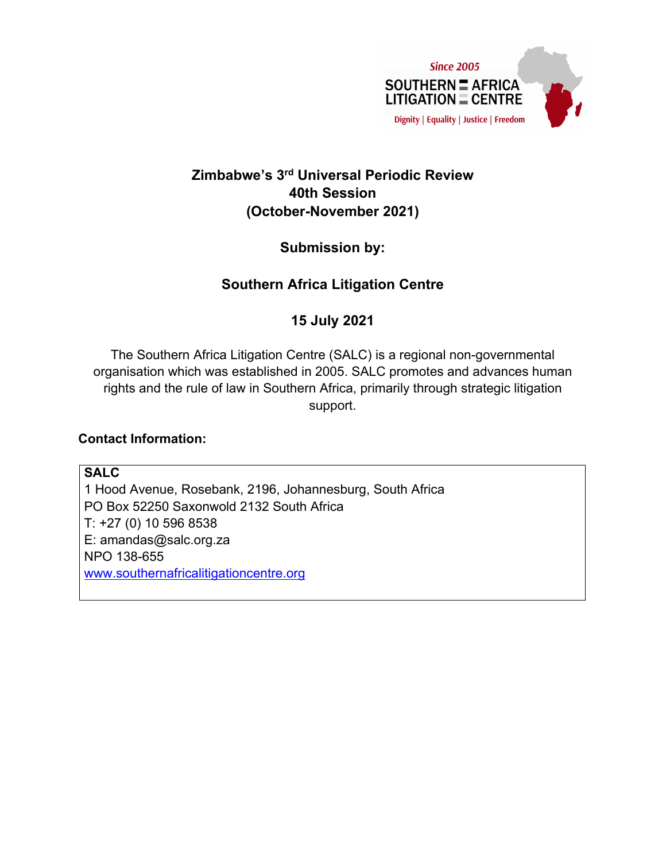

# **Zimbabwe'<sup>s</sup> 3rd Universal Periodic Review 40th Session (October-November 2021)**

**Submission by:**

# **Southern Africa Litigation Centre**

## **15 July 2021**

The Southern Africa Litigation Centre (SALC) is <sup>a</sup> regional non-governmental organisation which was established in 2005. SALC promotes and advances human rights and the rule of law in Southern Africa, primarily through strategic litigation support.

### **Contact Information:**

**SALC** 1 Hood Avenue, Rosebank, 2196, Johannesburg, South Africa PO Box 52250 Saxonwold 2132 South Africa T: +27 (0) 10 596 8538 E: amandas@salc.org.za NPO 138-655 [www.southernafricalitigationcentre.org](http://www.southernafricalitigationcentre.org)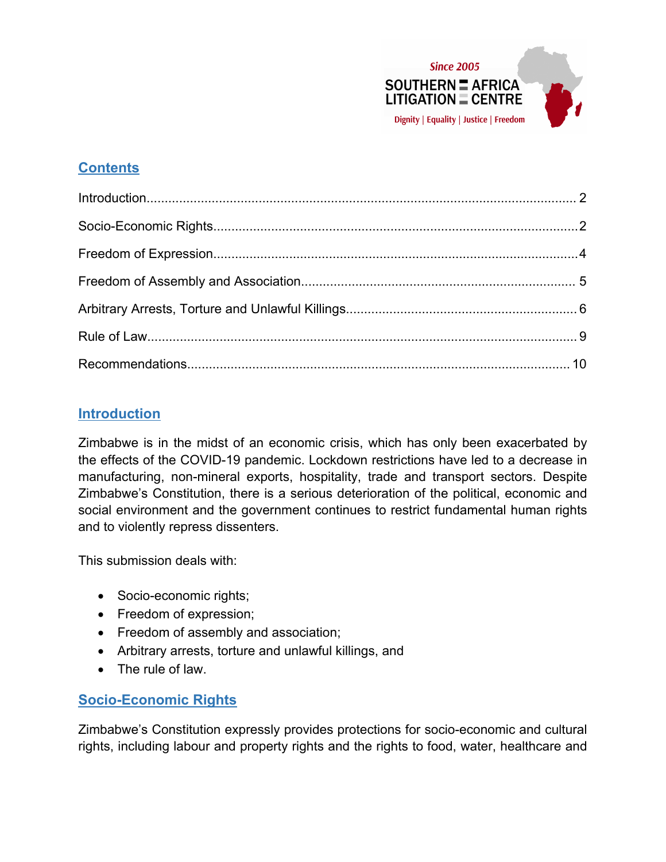

# **Contents**

## **Introduction**

Zimbabwe is in the midst of an economic crisis, which has only been exacerbated by the effects of the COVID-19 pandemic. Lockdown restrictions have led to <sup>a</sup> decrease in manufacturing, non-mineral exports, hospitality, trade and transport sectors. Despite Zimbabwe'<sup>s</sup> Constitution, there is <sup>a</sup> serious deterioration of the political, economic and social environment and the government continues to restrict fundamental human rights and to violently repress dissenters.

This submission deals with:

- Socio-economic rights;
- Freedom of expression;
- Freedom of assembly and association;
- Arbitrary arrests, torture and unlawful killings, and
- The rule of law.

# **Socio-Economic Rights**

Zimbabwe'<sup>s</sup> Constitution expressly provides protections for socio-economic and cultural rights, including labour and property rights and the rights to food, water, healthcare and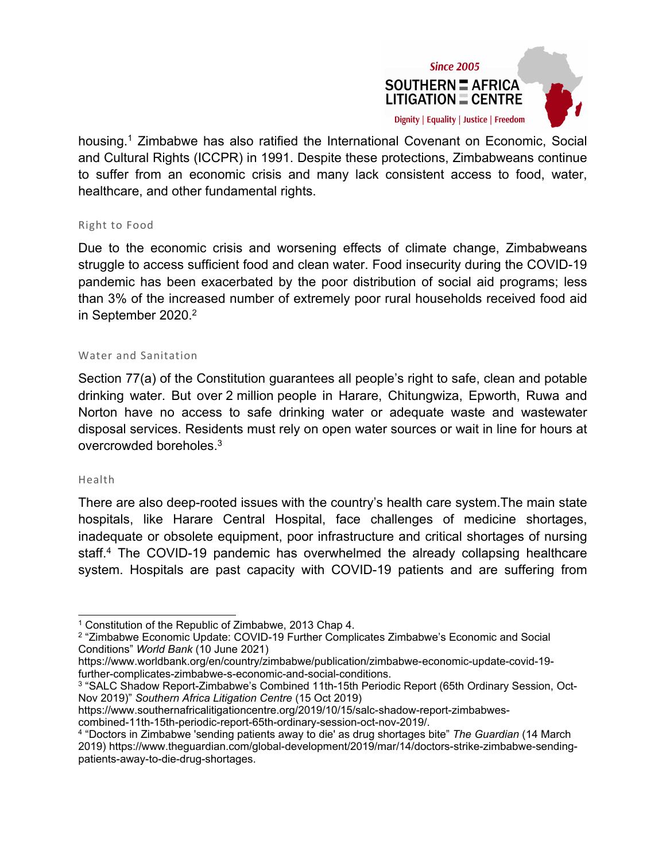

housing. 1 Zimbabwe has also ratified the International Covenant on Economic, Social and Cultural Rights (ICCPR) in 1991. Despite these protections, Zimbabweans continue to suffer from an economic crisis and many lack consistent access to food, water, healthcare, and other fundamental rights.

#### Right to Food

Due to the economic crisis and worsening effects of climate change, Zimbabweans struggle to access sufficient food and clean water. Food insecurity during the COVID-19 pandemic has been exacerbated by the poor distribution of social aid programs; less than 3% of the increased number of extremely poor rural households received food aid in September 2020. 2

#### Water and Sanitation

Section 77(a) of the Constitution guarantees all people'<sup>s</sup> right to safe, clean and potable drinking water. But over 2 million people in Harare, Chitungwiza, Epworth, Ruwa and Norton have no access to safe drinking water or adequate waste and wastewater disposal services. Residents must rely on open water sources or wait in line for hours at overcrowded boreholes. $^3$ 

#### Health

There are also deep-rooted issues with the country'<sup>s</sup> health care system.The main state hospitals, like Harare Central Hospital, face challenges of medicine shortages, inadequate or obsolete equipment, poor infrastructure and critical shortages of nursing staff. 4 The COVID-19 pandemic has overwhelmed the already collapsing healthcare system. Hospitals are past capacity with COVID-19 patients and are suffering from

combined-11th-15th-periodic-report-65th-ordinary-session-oct-nov-2019/.

<sup>1</sup> Constitution of the Republic of Zimbabwe, 2013 Chap 4.

<sup>&</sup>lt;sup>2</sup> "Zimbabwe Economic Update: COVID-19 Further Complicates Zimbabwe's Economic and Social Conditions" *World Bank* (10 June 2021)

https://www.worldbank.org/en/country/zimbabwe/publication/zimbabwe-economic-update-covid-19 further-complicates-zimbabwe-s-economic-and-social-conditions.

<sup>3</sup> "SALC Shadow Report-Zimbabwe'<sup>s</sup> Combined 11th-15th Periodic Report (65th Ordinary Session, Oct-Nov 2019)" *Southern Africa Litigation Centre* (15 Oct 2019)

https://www.southernafricalitigationcentre.org/2019/10/15/salc-shadow-report-zimbabwes-

<sup>4</sup> "Doctors in Zimbabwe 'sending patients away to die' as drug shortages bite" *The Guardian* (14 March 2019) https://www.theguardian.com/global-development/2019/mar/14/doctors-strike-zimbabwe-sendingpatients-away-to-die-drug-shortages.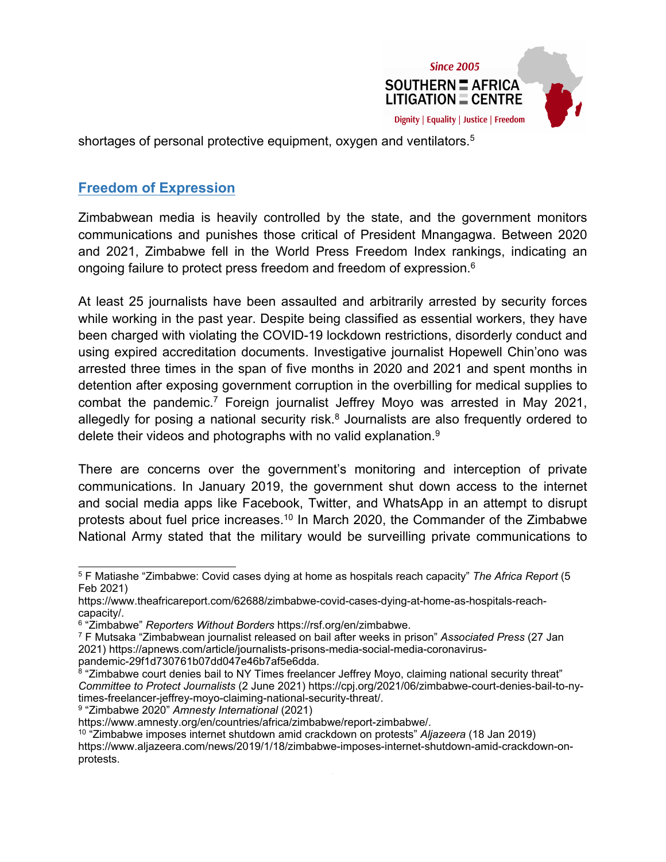

<span id="page-3-0"></span>shortages of personal protective equipment, oxygen and ventilators. 5

## **Freedom of Expression**

Zimbabwean media is heavily controlled by the state, and the government monitors communications and punishes those critical of President Mnangagwa. Between 2020 and 2021, Zimbabwe fell in the World Press Freedom Index rankings, indicating an ongoing failure to protect press freedom and freedom of expression. $^6$ 

At least 25 journalists have been assaulted and arbitrarily arrested by security forces while working in the past year. Despite being classified as essential workers, they have been charged with violating the COVID-19 lockdown restrictions, disorderly conduct and using expired accreditation documents. Investigative journalist Hopewell Chin'ono was arrested three times in the span of five months in 2020 and 2021 and spent months in detention after exposing government corruption in the overbilling for medical supplies to combat the pandemic.<sup>7</sup> Foreign journalist Jeffrey Moyo was arrested in May 2021, allegedly for posing a national security risk.<sup>8</sup> Journalists are also frequently ordered to delete their videos and photographs with no valid explanation. $^9$ 

There are concerns over the government'<sup>s</sup> monitoring and interception of private communications. In January 2019, the government shut down access to the internet and social media apps like Facebook, Twitter, and WhatsApp in an attempt to disrupt protests about fuel price increases.<sup>10</sup> In March 2020, the Commander of the Zimbabwe National Army stated that the military would be surveilling private communications to

9 "Zimbabwe 2020" *Amnesty International* (2021)

<sup>5</sup> F Matiashe "Zimbabwe: Covid cases dying at home as hospitals reach capacity" *The Africa Report* (5 Feb 2021)

https://www.theafricareport.com/62688/zimbabwe-covid-cases-dying-at-home-as-hospitals-reachcapacity/.

<sup>6</sup> "Zimbabwe" *Reporters Without Borders* https://rsf.org/en/zimbabwe.

<sup>7</sup> F Mutsaka "Zimbabwean journalist released on bail after weeks in prison" *Associated Press* (27 Jan 2021) https://apnews.com/article/journalists-prisons-media-social-media-coronaviruspandemic-29f1d730761b07dd047e46b7af5e6dda.

<sup>&</sup>lt;sup>8</sup> "Zimbabwe court denies bail to NY Times freelancer Jeffrey Moyo, claiming national security threat" *Committee to Protect Journalists* (2 June 2021) https://cpj.org/2021/06/zimbabwe-court-denies-bail-to-nytimes-freelancer-jeffrey-moyo-claiming-national-security-threat/.

https://www.amnesty.org/en/countries/africa/zimbabwe/report-zimbabwe/.

<sup>10</sup> "Zimbabwe imposes internet shutdown amid crackdown on protests" *Aljazeera* (18 Jan 2019) https://www.aljazeera.com/news/2019/1/18/zimbabwe-imposes-internet-shutdown-amid-crackdown-onprotests.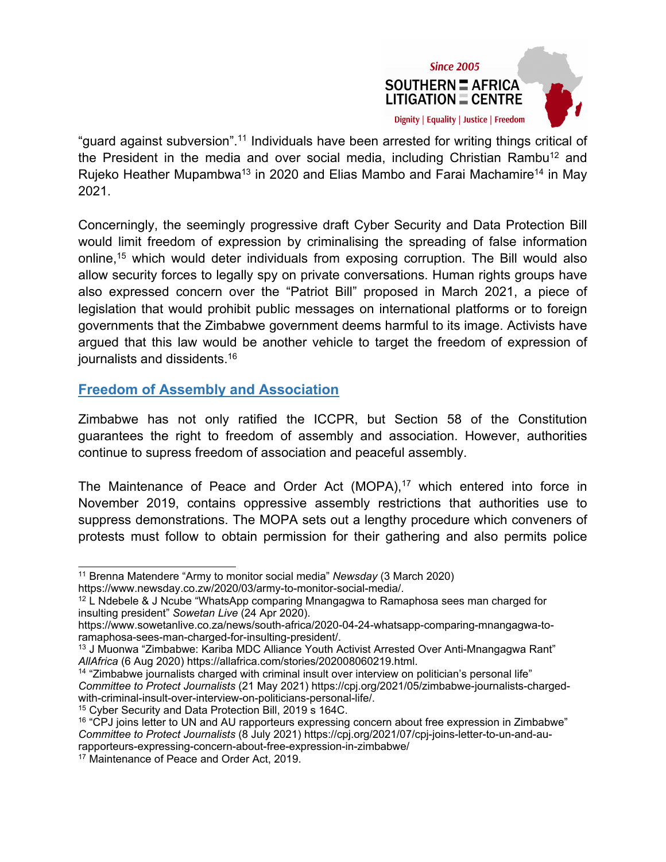

<span id="page-4-0"></span>"guard against subversion".<sup>11</sup> Individuals have been arrested for writing things critical of the President in the media and over social media, including Christian Rambu $^{\rm 12}$  and Rujeko Heather Mupambwa<sup>13</sup> in 2020 and Elias Mambo and Farai Machamire<sup>14</sup> in May 2021.

Concerningly, the seemingly progressive draft Cyber Security and Data Protection Bill would limit freedom of expression by criminalising the spreading of false information online, <sup>15</sup> which would deter individuals from exposing corruption. The Bill would also allow security forces to legally spy on private conversations. Human rights groups have also expressed concern over the "Patriot Bill" proposed in March 2021, <sup>a</sup> piece of legislation that would prohibit public messages on international platforms or to foreign governments that the Zimbabwe government deems harmful to its image. Activists have argued that this law would be another vehicle to target the freedom of expression of journalists and dissidents. 16

### **Freedom of Assembly and Association**

Zimbabwe has not only ratified the ICCPR, but Section 58 of the Constitution guarantees the right to freedom of assembly and association. However, authorities continue to supress freedom of association and peaceful assembly.

The Maintenance of Peace and Order Act (MOPA), <sup>17</sup> which entered into force in November 2019, contains oppressive assembly restrictions that authorities use to suppress demonstrations. The MOPA sets out <sup>a</sup> lengthy procedure which conveners of protests must follow to obtain permission for their gathering and also permits police

<sup>15</sup> Cyber Security and Data Protection Bill, 2019 <sup>s</sup> 164C.

<sup>11</sup> Brenna Matendere "Army to monitor social media" *Newsday* (3 March 2020)

https://www.newsday.co.zw/2020/03/army-to-monitor-social-media/.

 $^{12}$  L Ndebele & J Ncube "WhatsApp comparing Mnangagwa to Ramaphosa sees man charged for insulting president" *Sowetan Live* (24 Apr 2020).

https://www.sowetanlive.co.za/news/south-africa/2020-04-24-whatsapp-comparing-mnangagwa-toramaphosa-sees-man-charged-for-insulting-president/.

<sup>13</sup> J Muonwa "Zimbabwe: Kariba MDC Alliance Youth Activist Arrested Over Anti-Mnangagwa Rant" *AllAfrica* (6 Aug 2020) https://allafrica.com/stories/202008060219.html.

<sup>14</sup> "Zimbabwe journalists charged with criminal insult over interview on politician'<sup>s</sup> personal life" *Committee to Protect Journalists* (21 May 2021) https://cpj.org/2021/05/zimbabwe-journalists-chargedwith-criminal-insult-over-interview-on-politicians-personal-life/.

 $^{16}$  "CPJ joins letter to UN and AU rapporteurs expressing concern about free expression in Zimbabwe" *Committee to Protect Journalists* (8 July 2021) https://cpj.org/2021/07/cpj-joins-letter-to-un-and-aurapporteurs-expressing-concern-about-free-expression-in-zimbabwe/

<sup>&</sup>lt;sup>17</sup> Maintenance of Peace and Order Act, 2019.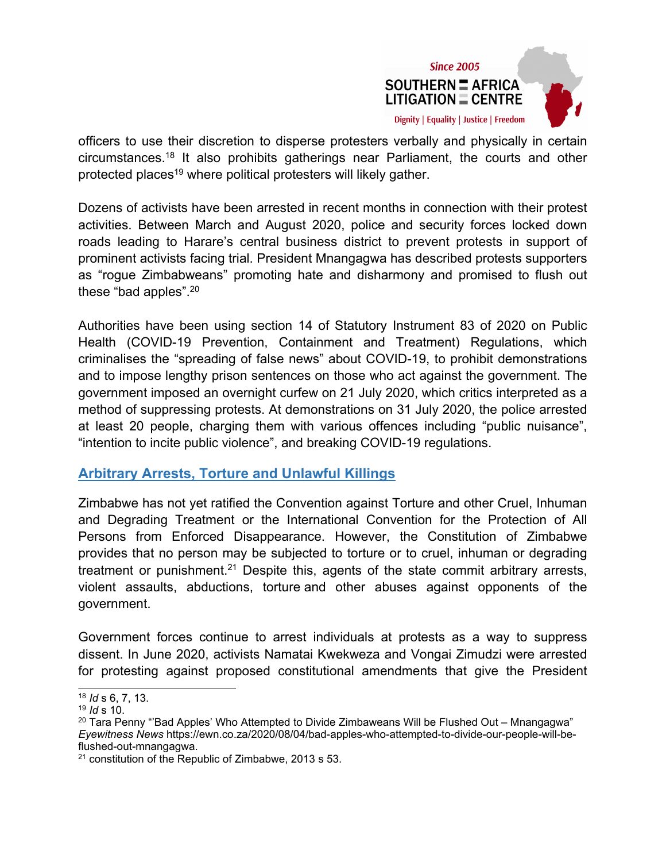

<span id="page-5-0"></span>officers to use their discretion to disperse protesters verbally and physically in certain circumstances.<sup>18</sup> It also prohibits gatherings near Parliament, the courts and other protected places<sup>19</sup> where political protesters will likely gather.

Dozens of activists have been arrested in recent months in connection with their protest activities. Between March and August 2020, police and security forces locked down roads leading to Harare'<sup>s</sup> central business district to prevent protests in support of prominent activists facing trial. President Mnangagwa has described protests supporters as "rogue Zimbabweans" promoting hate and disharmony and promised to flush out these "bad apples". 20

Authorities have been using section 14 of Statutory Instrument 83 of 2020 on Public Health (COVID-19 Prevention, Containment and Treatment) Regulations, which criminalises the "spreading of false news" about COVID-19, to prohibit demonstrations and to impose lengthy prison sentences on those who act against the government. The government imposed an overnight curfew on 21 July 2020, which critics interpreted as <sup>a</sup> method of suppressing protests. At demonstrations on 31 July 2020, the police arrested at least 20 people, charging them with various offences including "public nuisance", "intention to incite public violence", and breaking COVID-19 regulations.

### **Arbitrary Arrests, Torture and Unlawful Killings**

Zimbabwe has not yet ratified the Convention against Torture and other Cruel, Inhuman and Degrading Treatment or the International Convention for the Protection of All Persons from Enforced Disappearance. However, the Constitution of Zimbabwe provides that no person may be subjected to torture or to cruel, inhuman or degrading treatment or punishment.<sup>21</sup> Despite this, agents of the state commit arbitrary arrests, violent assaults, abductions, torture and other abuses against opponents of the government.

Government forces continue to arrest individuals at protests as <sup>a</sup> way to suppress dissent. In June 2020, activists Namatai Kwekweza and Vongai Zimudzi were arrested for protesting against proposed constitutional amendments that give the President

<sup>18</sup> *Id* <sup>s</sup> 6, 7, 13.

<sup>19</sup> *Id* s 10.

 $^{\rm 20}$  Tara Penny "'Bad Apples' Who Attempted to Divide Zimbaweans Will be Flushed Out – Mnangagwa" *Eyewitness News* https://ewn.co.za/2020/08/04/bad-apples-who-attempted-to-divide-our-people-will-beflushed-out-mnangagwa.

 $^{21}$  constitution of the Republic of Zimbabwe, 2013 s 53.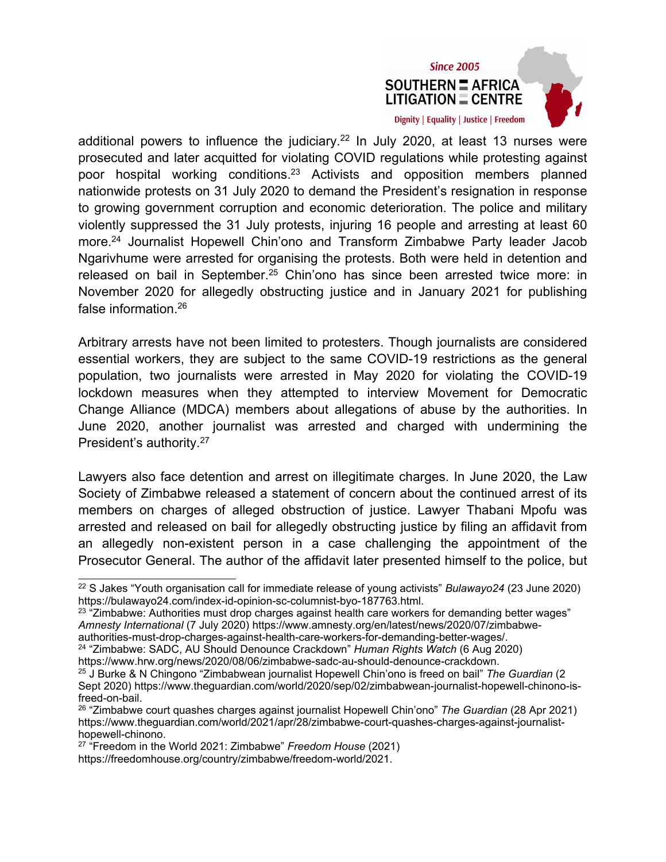



Arbitrary arrests have not been limited to protesters. Though journalists are considered essential workers, they are subject to the same COVID-19 restrictions as the general population, two journalists were arrested in May 2020 for violating the COVID-19 lockdown measures when they attempted to interview Movement for Democratic Change Alliance (MDCA) members about allegations of abuse by the authorities. In June 2020, another journalist was arrested and charged with undermining the President'<sup>s</sup> authority. 27

Lawyers also face detention and arrest on illegitimate charges. In June 2020, the Law Society of Zimbabwe released <sup>a</sup> statement of concern about the continued arrest of its members on charges of alleged obstruction of justice. Lawyer Thabani Mpofu was arrested and released on bail for allegedly obstructing justice by filing an affidavit from an allegedly non-existent person in <sup>a</sup> case challenging the appointment of the Prosecutor General. The author of the affidavit later presented himself to the police, but

<sup>22</sup> S Jakes "Youth organisation call for immediate release of young activists" *Bulawayo24* (23 June 2020) https://bulawayo24.com/index-id-opinion-sc-columnist-byo-187763.html.

 $^\mathrm{23}$  "Zimbabwe: Authorities must drop charges against health care workers for demanding better wages" *Amnesty International* (7 July 2020) https://www.amnesty.org/en/latest/news/2020/07/zimbabweauthorities-must-drop-charges-against-health-care-workers-for-demanding-better-wages/.

<sup>24</sup> "Zimbabwe: SADC, AU Should Denounce Crackdown" *Human Rights Watch* (6 Aug 2020)

https://www.hrw.org/news/2020/08/06/zimbabwe-sadc-au-should-denounce-crackdown.

<sup>25</sup> J Burke & N Chingono "Zimbabwean journalist Hopewell Chin'ono is freed on bail" *The Guardian* (2 Sept 2020) https://www.theguardian.com/world/2020/sep/02/zimbabwean-journalist-hopewell-chinono-isfreed-on-bail.

<sup>26</sup> "Zimbabwe court quashes charges against journalist Hopewell Chin'ono" *The Guardian* (28 Apr 2021) https://www.theguardian.com/world/2021/apr/28/zimbabwe-court-quashes-charges-against-journalisthopewell-chinono.

<sup>27</sup> "Freedom in the World 2021: Zimbabwe" *Freedom House* (2021)

https://freedomhouse.org/country/zimbabwe/freedom-world/2021.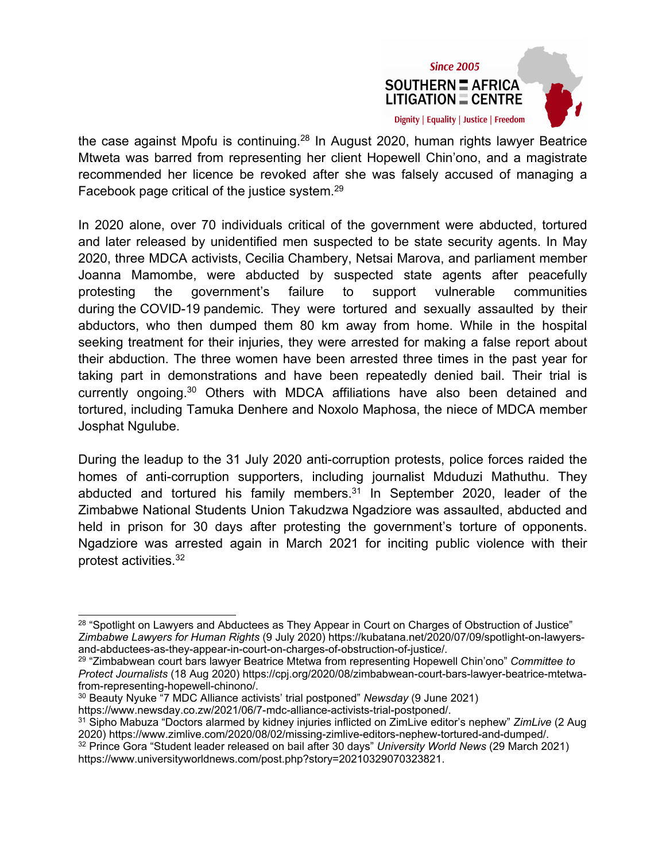

the case against Mpofu is continuing.<sup>28</sup> In August 2020, human rights lawyer Beatrice Mtweta was barred from representing her client Hopewell Chin'ono, and <sup>a</sup> magistrate recommended her licence be revoked after she was falsely accused of managing <sup>a</sup> Facebook page critical of the justice system. $^{\mathrm{29}}$ 

In 2020 alone, over 70 individuals critical of the government were abducted, tortured and later released by unidentified men suspected to be state security agents. In May 2020, three MDCA activists, Cecilia Chambery, Netsai Marova, and parliament member Joanna Mamombe, were abducted by suspected state agents after peacefully protesting the government'<sup>s</sup> failure to support vulnerable communities during the COVID-19 pandemic. They were tortured and sexually assaulted by their abductors, who then dumped them 80 km away from home. While in the hospital seeking treatment for their injuries, they were arrested for making <sup>a</sup> false report about their abduction. The three women have been arrested three times in the past year for taking part in demonstrations and have been repeatedly denied bail. Their trial is currently ongoing.<sup>30</sup> Others with MDCA affiliations have also been detained and tortured, including Tamuka Denhere and Noxolo Maphosa, the niece of MDCA member Josphat Ngulube.

During the leadup to the 31 July 2020 anti-corruption protests, police forces raided the homes of anti-corruption supporters, including journalist Mduduzi Mathuthu. They abducted and tortured his family members. 31 In September 2020, leader of the Zimbabwe National Students Union Takudzwa Ngadziore was assaulted, abducted and held in prison for 30 days after protesting the government'<sup>s</sup> torture of opponents. Ngadziore was arrested again in March 2021 for inciting public violence with their protest activities. 32

 $^{28}$  "Spotlight on Lawyers and Abductees as They Appear in Court on Charges of Obstruction of Justice" *Zimbabwe Lawyers for Human Rights* (9 July 2020) https://kubatana.net/2020/07/09/spotlight-on-lawyersand-abductees-as-they-appear-in-court-on-charges-of-obstruction-of-justice/.

<sup>29</sup> "Zimbabwean court bars lawyer Beatrice Mtetwa from representing Hopewell Chin'ono" *Committee to Protect Journalists* (18 Aug 2020) https://cpj.org/2020/08/zimbabwean-court-bars-lawyer-beatrice-mtetwafrom-representing-hopewell-chinono/.

<sup>30</sup> Beauty Nyuke "7 MDC Alliance activists' trial postponed" *Newsday* (9 June 2021) https://www.newsday.co.zw/2021/06/7-mdc-alliance-activists-trial-postponed/.

<sup>31</sup> Sipho Mabuza "Doctors alarmed by kidney injuries inflicted on ZimLive editor'<sup>s</sup> nephew" *ZimLive* (2 Aug 2020) https://www.zimlive.com/2020/08/02/missing-zimlive-editors-nephew-tortured-and-dumped/. <sup>32</sup> Prince Gora "Student leader released on bail after 30 days" *University World News* (29 March 2021)

https://www.universityworldnews.com/post.php?story=20210329070323821.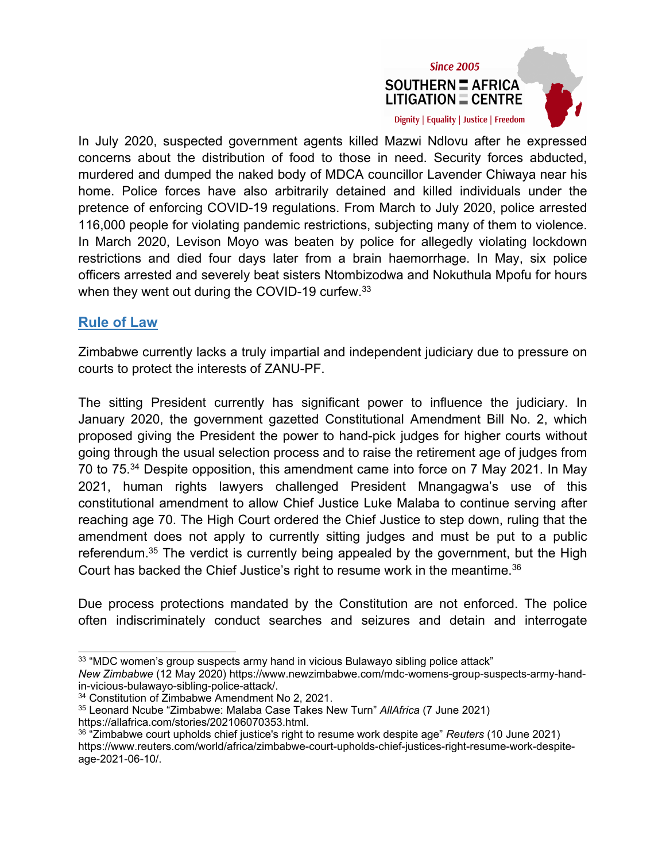

<span id="page-8-0"></span>In July 2020, suspected government agents killed Mazwi Ndlovu after he expressed concerns about the distribution of food to those in need. Security forces abducted, murdered and dumped the naked body of MDCA councillor Lavender Chiwaya near his home. Police forces have also arbitrarily detained and killed individuals under the pretence of enforcing COVID-19 regulations. From March to July 2020, police arrested 116,000 people for violating pandemic restrictions, subjecting many of them to violence. In March 2020, Levison Moyo was beaten by police for allegedly violating lockdown restrictions and died four days later from <sup>a</sup> brain haemorrhage. In May, six police officers arrested and severely beat sisters Ntombizodwa and Nokuthula Mpofu for hours when they went out during the COVID-19 curfew.<sup>33</sup>

### **Rule of Law**

Zimbabwe currently lacks <sup>a</sup> truly impartial and independent judiciary due to pressure on courts to protect the interests of ZANU-PF.

The sitting President currently has significant power to influence the judiciary. In January 2020, the government gazetted Constitutional Amendment Bill No. 2, which proposed giving the President the power to hand-pick judges for higher courts without going through the usual selection process and to raise the retirement age of judges from 70 to 75. <sup>34</sup> Despite opposition, this amendment came into force on 7 May 2021. In May 2021, human rights lawyers challenged President Mnangagwa'<sup>s</sup> use of this constitutional amendment to allow Chief Justice Luke Malaba to continue serving after reaching age 70. The High Court ordered the Chief Justice to step down, ruling that the amendment does not apply to currently sitting judges and must be put to <sup>a</sup> public referendum.<sup>35</sup> The verdict is currently being appealed by the government, but the High Court has backed the Chief Justice's right to resume work in the meantime. $^{\rm 36}$ 

Due process protections mandated by the Constitution are not enforced. The police often indiscriminately conduct searches and seizures and detain and interrogate

 $^{\rm 33}$  "MDC women's group suspects army hand in vicious Bulawayo sibling police attack"

*New Zimbabwe* (12 May 2020) https://www.newzimbabwe.com/mdc-womens-group-suspects-army-handin-vicious-bulawayo-sibling-police-attack/.

<sup>34</sup> Constitution of Zimbabwe Amendment No 2, 2021.

<sup>35</sup> Leonard Ncube "Zimbabwe: Malaba Case Takes New Turn" *AllAfrica* (7 June 2021) https://allafrica.com/stories/202106070353.html.

<sup>36</sup> "Zimbabwe court upholds chief justice's right to resume work despite age" *Reuters* (10 June 2021) https://www.reuters.com/world/africa/zimbabwe-court-upholds-chief-justices-right-resume-work-despiteage-2021-06-10/.